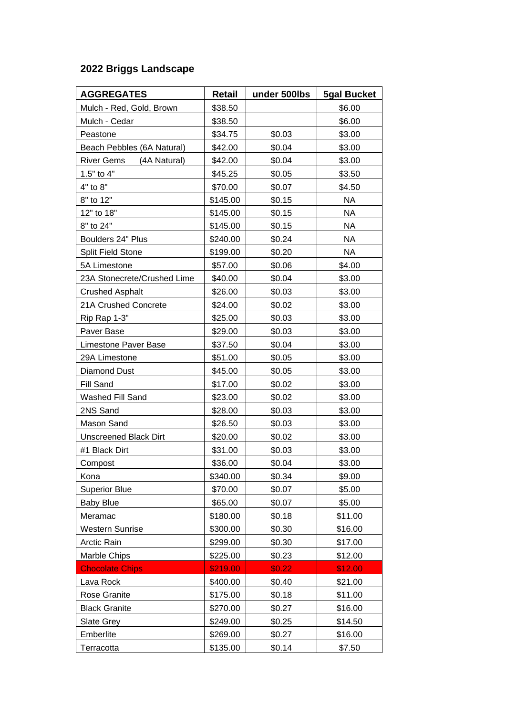## **2022 Briggs Landscape**

| <b>AGGREGATES</b>                 | Retail   | under 500lbs | <b>5gal Bucket</b> |
|-----------------------------------|----------|--------------|--------------------|
| Mulch - Red, Gold, Brown          | \$38.50  |              | \$6.00             |
| Mulch - Cedar                     | \$38.50  |              | \$6.00             |
| Peastone                          | \$34.75  | \$0.03       | \$3.00             |
| Beach Pebbles (6A Natural)        | \$42.00  | \$0.04       | \$3.00             |
| <b>River Gems</b><br>(4A Natural) | \$42.00  | \$0.04       | \$3.00             |
| 1.5" to 4"                        | \$45.25  | \$0.05       | \$3.50             |
| 4" to 8"                          | \$70.00  | \$0.07       | \$4.50             |
| 8" to 12"                         | \$145.00 | \$0.15       | <b>NA</b>          |
| 12" to 18"                        | \$145.00 | \$0.15       | <b>NA</b>          |
| 8" to 24"                         | \$145.00 | \$0.15       | NA                 |
| Boulders 24" Plus                 | \$240.00 | \$0.24       | NA                 |
| <b>Split Field Stone</b>          | \$199.00 | \$0.20       | NA                 |
| 5A Limestone                      | \$57.00  | \$0.06       | \$4.00             |
| 23A Stonecrete/Crushed Lime       | \$40.00  | \$0.04       | \$3.00             |
| <b>Crushed Asphalt</b>            | \$26.00  | \$0.03       | \$3.00             |
| 21A Crushed Concrete              | \$24.00  | \$0.02       | \$3.00             |
| Rip Rap 1-3"                      | \$25.00  | \$0.03       | \$3.00             |
| Paver Base                        | \$29.00  | \$0.03       | \$3.00             |
| Limestone Paver Base              | \$37.50  | \$0.04       | \$3.00             |
| 29A Limestone                     | \$51.00  | \$0.05       | \$3.00             |
| <b>Diamond Dust</b>               | \$45.00  | \$0.05       | \$3.00             |
| Fill Sand                         | \$17.00  | \$0.02       | \$3.00             |
| Washed Fill Sand                  | \$23.00  | \$0.02       | \$3.00             |
| 2NS Sand                          | \$28.00  | \$0.03       | \$3.00             |
| Mason Sand                        | \$26.50  | \$0.03       | \$3.00             |
| <b>Unscreened Black Dirt</b>      | \$20.00  | \$0.02       | \$3.00             |
| #1 Black Dirt                     | \$31.00  | \$0.03       | \$3.00             |
| Compost                           | \$36.00  | \$0.04       | \$3.00             |
| Kona                              | \$340.00 | \$0.34       | \$9.00             |
| <b>Superior Blue</b>              | \$70.00  | \$0.07       | \$5.00             |
| <b>Baby Blue</b>                  | \$65.00  | \$0.07       | \$5.00             |
| Meramac                           | \$180.00 | \$0.18       | \$11.00            |
| <b>Western Sunrise</b>            | \$300.00 | \$0.30       | \$16.00            |
| <b>Arctic Rain</b>                | \$299.00 | \$0.30       | \$17.00            |
| Marble Chips                      | \$225.00 | \$0.23       | \$12.00            |
| <b>Chocolate Chips</b>            | \$219.00 | \$0.22       | \$12.00            |
| Lava Rock                         | \$400.00 | \$0.40       | \$21.00            |
| Rose Granite                      | \$175.00 | \$0.18       | \$11.00            |
| <b>Black Granite</b>              | \$270.00 | \$0.27       | \$16.00            |
| Slate Grey                        | \$249.00 | \$0.25       | \$14.50            |
| Emberlite                         | \$269.00 | \$0.27       | \$16.00            |
| Terracotta                        | \$135.00 | \$0.14       | \$7.50             |